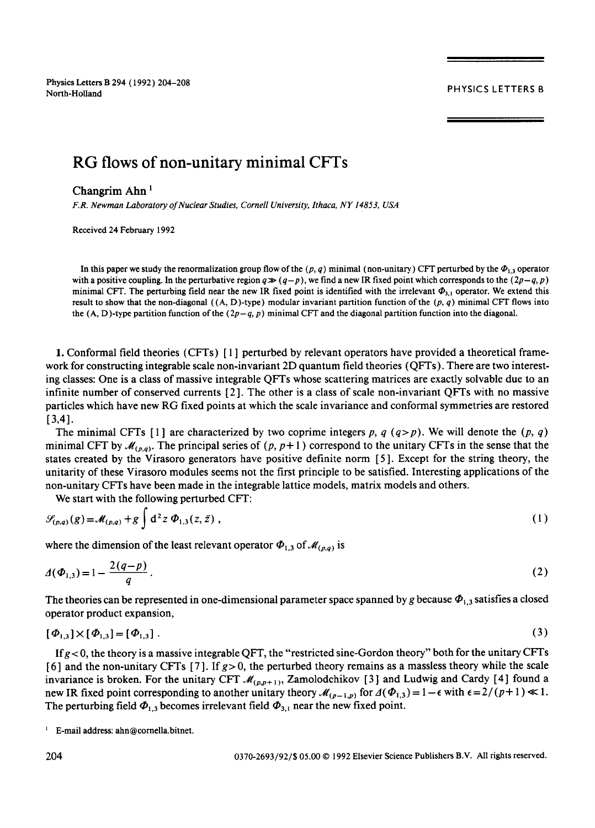Physics Letters B 294 (1992) 204-208 North-Holland PHYSICS LETTERS B

# **RG flows of non-unitary minimal CFTs**

## Changrim Ahn<sup>1</sup>

*F.R. Newman Laboratory of Nuclear Studies, Cornell University, Ithaca, NY 14853, USA* 

Received 24 February 1992

In this paper we study the renormalization group flow of the  $(p, q)$  minimal (non-unitary) CFT perturbed by the  $\Phi_{1,3}$  operator with a positive coupling. In the perturbative region  $q \gg (q-p)$ , we find a new IR fixed point which corresponds to the  $(2p-q, p)$ minimal CFT. The perturbing field near the new IR fixed point is identified with the irrelevant  $\Phi_{3,1}$  operator. We extend this result to show that the non-diagonal  $((A, D)$ -type) modular invariant partition function of the  $(p, q)$  minimal CFT flows into the (A, D)-type partition function of the *(2p-q, p)* minimal CFT and the diagonal partition function into the diagonal.

1. Conformal field theories (CFTs) [ 1 ] perturbed by relevant operators have provided a theoretical framework for constructing integrable scale non-invariant 2D quantum field theories (QFTs). There are two interesting classes: One is a class of massive integrable QFTs whose scattering matrices are exactly solvable due to an infinite number of conserved currents [ 2 ]. The other is a class of scale non-invariant QFTs with no massive particles which have new RG fixed points at which the scale invariance and conformal symmetries are restored  $[3, 4].$ 

The minimal CFTs [1] are characterized by two coprime integers p, q  $(q>p)$ . We will denote the  $(p, q)$ minimal CFT by  $\mathcal{M}_{(p,q)}$ . The principal series of  $(p, p+1)$  correspond to the unitary CFTs in the sense that the states created by the Virasoro generators have positive definite norm [ 5]. Except for the string theory, the unitarity of these Virasoro modules seems not the first principle to be satisfied. Interesting applications of the non-unitary CFTs have been made in the integrable lattice models, matrix models and others.

We start with the following perturbed CFT:

$$
\mathcal{G}_{(p,q)}(g) = \mathcal{M}_{(p,q)} + g \int d^2 z \, \Phi_{1,3}(z,\bar{z}) \;, \tag{1}
$$

where the dimension of the least relevant operator  $\Phi_{1,3}$  of  $\mathcal{M}_{(p,q)}$  is

$$
\Delta(\Phi_{1,3}) = 1 - \frac{2(q-p)}{q} \,. \tag{2}
$$

The theories can be represented in one-dimensional parameter space spanned by g because  $\Phi_{1,3}$  satisfies a closed operator product expansion,

$$
[\Phi_{1,3}] \times [\Phi_{1,3}] = [\Phi_{1,3}]. \tag{3}
$$

If  $g$  < 0, the theory is a massive integrable QFT, the "restricted sine-Gordon theory" both for the unitary CFTs [6] and the non-unitary CFTs [7]. If  $g > 0$ , the perturbed theory remains as a massless theory while the scale invariance is broken. For the unitary CFT  $\mathcal{M}_{(p,p+1)}$ , Zamolodchikov [3] and Ludwig and Cardy [4] found a new IR fixed point corresponding to another unitary theory  $\mathcal{M}_{(p-1,p)}$  for  $\Delta(\Phi_{1,3}) = 1 - \epsilon$  with  $\epsilon = 2/(p+1) \ll 1$ . The perturbing field  $\Phi_{1,3}$  becomes irrelevant field  $\Phi_{3,1}$  near the new fixed point.

<sup>1</sup> E-mail address: ahn@cornella.bitnet.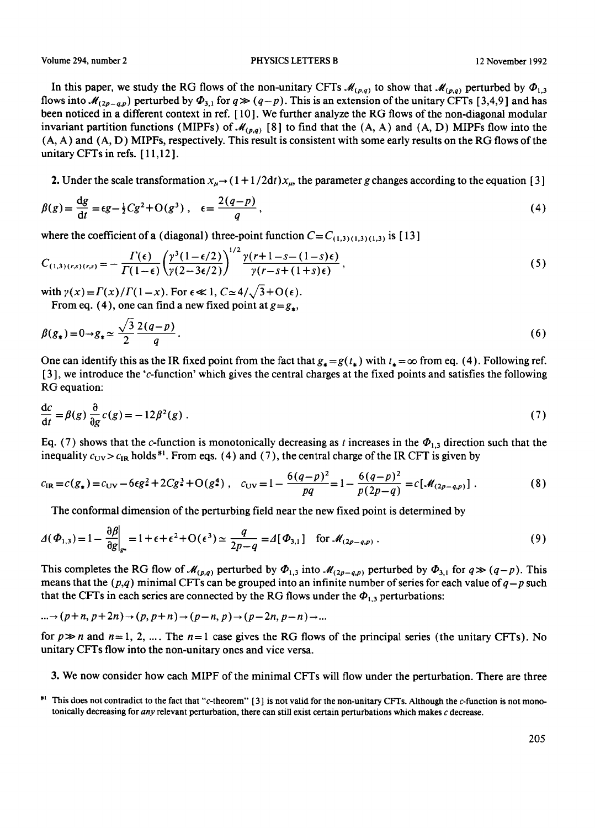Volume 294, number 2 **PHYSICS LETTERS B** 12 November 1992

In this paper, we study the RG flows of the non-unitary CFTs  $\mathcal{M}_{(p,q)}$  to show that  $\mathcal{M}_{(p,q)}$  perturbed by  $\Phi_{1,3}$ . flows into  $\mathcal{M}_{(2p-q,p)}$  perturbed by  $\Phi_{3,1}$  for  $q \gg (q-p)$ . This is an extension of the unitary CFTs [3,4,9] and has been noticed in a different context in ref. [ 10 ]. We further analyze the RG flows of the non-diagonal modular invariant partition functions (MIPFs) of  $\mathcal{M}_{(p,q)}$  [8] to find that the (A, A) and (A, D) MIPFs flow into the (A, A) and (A, D) MIPFs, respectively. This result is consistent with some early results on the RG flows of the unitary CFTs in refs. [ 11,12 ].

2. Under the scale transformation  $x_u \rightarrow (1 + 1/2dt)x_u$ , the parameter g changes according to the equation [3]

$$
\beta(g) = \frac{dg}{dt} = \epsilon g - \frac{1}{2}Cg^2 + O(g^3) , \quad \epsilon = \frac{2(q-p)}{q} , \tag{4}
$$

where the coefficient of a (diagonal) three-point function  $C = C_{(1,3) (1,3) (1,3)}$  is [13]

$$
C_{(1,3)(r,s)(r,s)} = -\frac{\Gamma(\epsilon)}{\Gamma(1-\epsilon)} \left(\frac{\gamma^3(1-\epsilon/2)}{\gamma(2-3\epsilon/2)}\right)^{1/2} \frac{\gamma(r+1-s-(1-s)\epsilon)}{\gamma(r-s+(1+s)\epsilon)},\tag{5}
$$

with  $\gamma(x) = \Gamma(x)/\Gamma(1-x)$ . For  $\epsilon \ll 1$ ,  $C \approx 4/\sqrt{3} + O(\epsilon)$ .

From eq. (4), one can find a new fixed point at  $g = g_*$ ,

$$
\beta(g_*) = 0 \to g_* \simeq \frac{\sqrt{3}}{2} \frac{2(q-p)}{q} \,. \tag{6}
$$

One can identify this as the IR fixed point from the fact that  $g_* = g(t_*)$  with  $t_* = \infty$  from eq. (4). Following ref. [ 3 ], we introduce the 'c-function' which gives the central charges at the fixed points and satisfies the following RG equation:

$$
\frac{dc}{dt} = \beta(g)\frac{\partial}{\partial g}c(g) = -12\beta^2(g) \tag{7}
$$

Eq. (7) shows that the c-function is monotonically decreasing as t increases in the  $\Phi_{1,3}$  direction such that the inequality  $c_{\text{UV}} > c_{\text{IR}}$  holds<sup>#1</sup>. From eqs. (4) and (7), the central charge of the IR CFT is given by

$$
c_{\text{IR}} = c(g_*) = c_{\text{UV}} - 6\epsilon g^2 + 2Cg^3 + O(g^4) \ , \quad c_{\text{UV}} = 1 - \frac{6(q-p)^2}{pq} = 1 - \frac{6(q-p)^2}{p(2p-q)} = c[\mathcal{M}_{(2p-q,p)}]. \tag{8}
$$

The conformal dimension of the perturbing field near the new fixed point is determined by

$$
\Delta(\Phi_{1,3}) = 1 - \frac{\partial \beta}{\partial g}\Big|_{g^*} = 1 + \epsilon + \epsilon^2 + O(\epsilon^3) \simeq \frac{q}{2p - q} = \Delta[\Phi_{3,1}] \text{ for } \mathcal{M}_{(2p - q,p)}.
$$
\n(9)

This completes the RG flow of  $\mathcal{M}_{(p,q)}$  perturbed by  $\Phi_{1,3}$  into  $\mathcal{M}_{(2p-q,p)}$  perturbed by  $\Phi_{3,1}$  for  $q \gg (q-p)$ . This means that the  $(p,q)$  minimal CFTs can be grouped into an infinite number of series for each value of  $q-p$  such that the CFTs in each series are connected by the RG flows under the  $\Phi_{1,3}$  perturbations:

$$
\ldots \to (p+n, p+2n) \to (p, p+n) \to (p-n, p) \to (p-2n, p-n) \to \ldots
$$

 $\sim$   $\sim$ 

for  $p \gg n$  and  $n=1, 2, ...$  The  $n=1$  case gives the RG flows of the principal series (the unitary CFTs). No unitary CFTs flow into the non-unitary ones and vice versa.

3. We now consider how each MIPF of the minimal CFTs will flow under the perturbation. There are three

#1 This does not contradict to the fact that "c-theorem" [3] is not valid for the non-unitary CFTs. Although the c-function is not monotonically decreasing for *any* relevant perturbation, there can still exist certain perturbations which makes c decrease.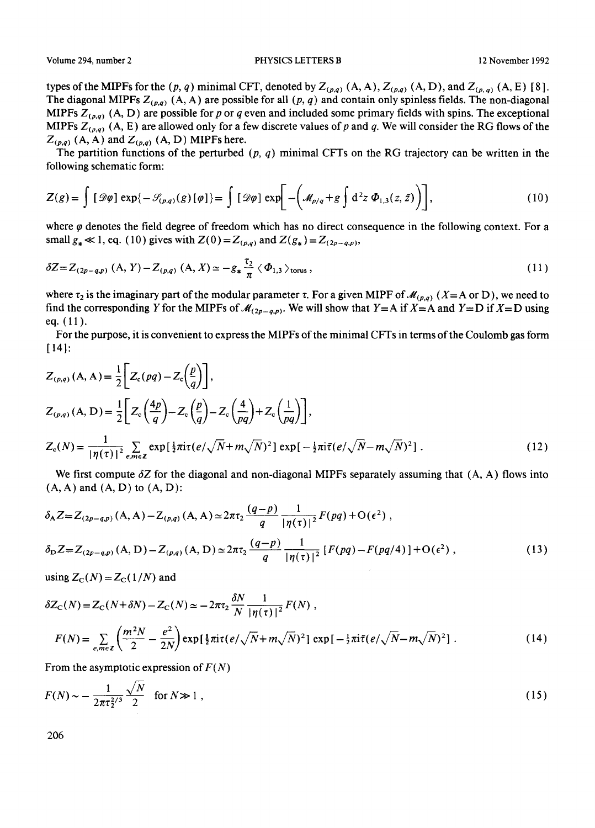types of the MIPFs for the  $(p, q)$  minimal CFT, denoted by  $Z_{(p,q)}$   $(A, A)$ ,  $Z_{(p,q)}$   $(A, D)$ , and  $Z_{(p,q)}$   $(A, E)$  [8]. The diagonal MIPFs  $Z_{(p,q)}$  (A, A) are possible for all  $(p, q)$  and contain only spinless fields. The non-diagonal MIPFs  $Z_{(p,q)}$  (A, D) are possible for p or q even and included some primary fields with spins. The exceptional MIPFs  $Z_{(p,q)}$  (A, E) are allowed only for a few discrete values of p and q. We will consider the RG flows of the  $Z_{(p,q)}$  (A, A) and  $Z_{(p,q)}$  (A, D) MIPFs here.

The partition functions of the perturbed  $(p, q)$  minimal CFTs on the RG trajectory can be written in the following schematic form:

$$
Z(g) = \int [\mathcal{D}\varphi] \exp\{-\mathcal{S}_{(p,q)}(g)[\varphi]\} = \int [\mathcal{D}\varphi] \exp\left[-\left(\mathcal{M}_{p/q} + g \int d^2 z \, \Phi_{1,3}(z,\bar{z})\right)\right],\tag{10}
$$

where  $\varphi$  denotes the field degree of freedom which has no direct consequence in the following context. For a small  $g_* \ll 1$ , eq. (10) gives with  $Z(0) = Z_{(p,q)}$  and  $Z(g_*) = Z_{(2p-q,p)}$ ,

$$
\delta Z = Z_{(2p-q,p)}(A, Y) - Z_{(p,q)}(A, X) \simeq -g_* \frac{\tau_2}{\pi} \langle \Phi_{1,3} \rangle_{\text{torus}},
$$
\n(11)

where  $\tau_2$  is the imaginary part of the modular parameter  $\tau$ . For a given MIPF of  $\mathcal{M}_{(p,q)}$  (X=A or D), we need to find the corresponding Y for the MIPFs of  $\mathcal{M}_{(2p-q,p)}$ . We will show that Y=A if X=A and Y=D if X=D using eq. (11).

For the purpose, it is convenient to express the MIPFs of the minimal CFTs in terms of the Coulomb gas form [14]:

$$
Z_{(p,q)}(A, A) = \frac{1}{2} \left[ Z_c(pq) - Z_c \left( \frac{p}{q} \right) \right],
$$
  
\n
$$
Z_{(p,q)}(A, D) = \frac{1}{2} \left[ Z_c \left( \frac{4p}{q} \right) - Z_c \left( \frac{p}{q} \right) - Z_c \left( \frac{4}{pq} \right) + Z_c \left( \frac{1}{pq} \right) \right],
$$
  
\n
$$
Z_c(N) = \frac{1}{|\eta(\tau)|^2} \sum_{e,m \in \mathbb{Z}} \exp\left[ \frac{1}{2} \pi i \tau (e/\sqrt{N} + m\sqrt{N})^2 \right] \exp\left[ -\frac{1}{2} \pi i \bar{\tau} (e/\sqrt{N} - m\sqrt{N})^2 \right].
$$
\n(12)

We first compute  $\delta Z$  for the diagonal and non-diagonal MIPFs separately assuming that  $(A, A)$  flows into **(A, A) and (A, D) to (A, D):** 

$$
\delta_A Z = Z_{(2p-q,p)}(A, A) - Z_{(p,q)}(A, A) \approx 2\pi\tau_2 \frac{(q-p)}{q} \frac{1}{|\eta(\tau)|^2} F(pq) + O(\epsilon^2) ,
$$
  
\n
$$
\delta_D Z = Z_{(2p-q,p)}(A, D) - Z_{(p,q)}(A, D) \approx 2\pi\tau_2 \frac{(q-p)}{q} \frac{1}{|\eta(\tau)|^2} [F(pq) - F(pq/4)] + O(\epsilon^2) ,
$$
\n(13)

using  $Z_C(N) = Z_C(1/N)$  and

$$
\delta Z_{\rm C}(N) = Z_{\rm C}(N+\delta N) - Z_{\rm C}(N) \simeq -2\pi\tau_2 \frac{\delta N}{N} \frac{1}{|\eta(\tau)|^2} F(N) ,
$$
  

$$
F(N) = \sum_{e,m\in\mathbb{Z}} \left(\frac{m^2 N}{2} - \frac{e^2}{2N}\right) \exp\left[\frac{1}{2}\pi i\tau (e/\sqrt{N} + m\sqrt{N})^2\right] \exp\left[-\frac{1}{2}\pi i\tilde{\tau} (e/\sqrt{N} - m\sqrt{N})^2\right].
$$
 (14)

From the asymptotic expression of *F(N)* 

$$
F(N) \sim -\frac{1}{2\pi\tau_2^{2/3}} \frac{\sqrt{N}}{2} \quad \text{for } N \gg 1 ,
$$
 (15)

206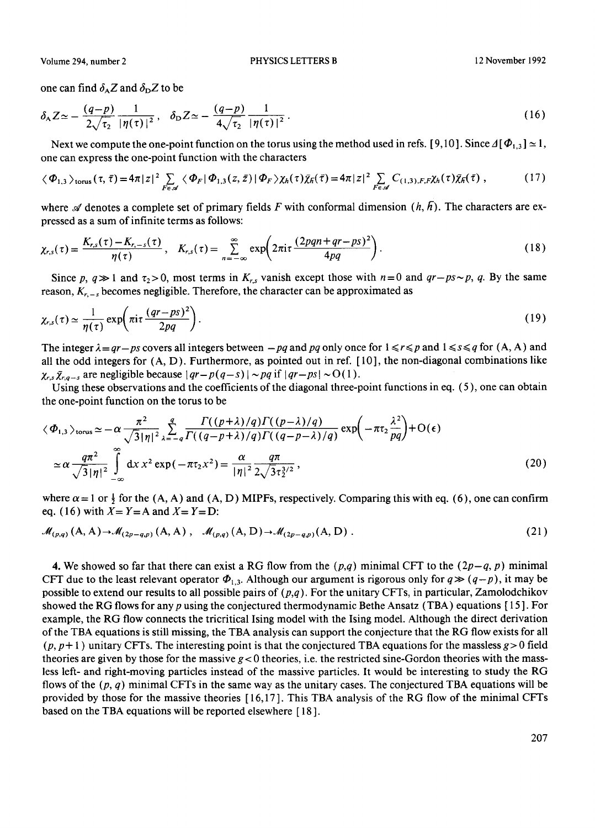### Volume 294, number 2 **PHYSICS LETTERS B** 12 November 1992

one can find  $\delta_A Z$  and  $\delta_D Z$  to be

$$
\delta_{A} Z \simeq -\frac{(q-p)}{2\sqrt{\tau_2}} \frac{1}{|\eta(\tau)|^2}, \quad \delta_{D} Z \simeq -\frac{(q-p)}{4\sqrt{\tau_2}} \frac{1}{|\eta(\tau)|^2}.
$$
\n(16)

Next we compute the one-point function on the torus using the method used in refs. [9,10]. Since  $\Delta[\Phi_{1,3}] \simeq 1$ , one can express the one-point function with the characters

$$
\langle \Phi_{1,3} \rangle_{\text{torus}} (\tau, \bar{\tau}) = 4\pi |z|^2 \sum_{F \in \mathscr{A}} \langle \Phi_F | \Phi_{1,3}(z,\bar{z}) | \Phi_F \rangle \chi_h(\tau) \bar{\chi}_h(\bar{\tau}) = 4\pi |z|^2 \sum_{F \in \mathscr{A}} C_{(1,3),F,F} \chi_h(\tau) \bar{\chi}_h(\bar{\tau}), \tag{17}
$$

where  $\mathscr A$  denotes a complete set of primary fields F with conformal dimension  $(h, \bar{h})$ . The characters are expressed as a sum of infinite terms as follows:

$$
\chi_{r,s}(\tau) = \frac{K_{r,s}(\tau) - K_{r,-s}(\tau)}{\eta(\tau)}, \quad K_{r,s}(\tau) = \sum_{n=-\infty}^{\infty} \exp\left(2\pi i \tau \frac{(2pqn+qr-ps)^2}{4pq}\right).
$$
 (18)

Since p,  $q \gg 1$  and  $\tau_2 > 0$ , most terms in  $K_{r,s}$  vanish except those with  $n=0$  and  $qr-ps \sim p$ , q. By the same reason,  $K_{r,s}$  becomes negligible. Therefore, the character can be approximated as

$$
\chi_{r,s}(\tau) \simeq \frac{1}{\eta(\tau)} \exp\left(\pi i \tau \frac{(qr - ps)^2}{2pq}\right). \tag{19}
$$

The integer  $\lambda = qr - ps$  covers all integers between  $-pq$  and pq only once for  $1 \le r \le p$  and  $1 \le s \le q$  for  $(A, A)$  and all the odd integers for (A, D). Furthermore, as pointed out in ref. [ 10], the non-diagonal combinations like  $\chi_{rs} \bar{\chi}_{r,q-s}$  are negligible because  $|qr-p(q-s)| \sim pq$  if  $|qr-ps| \sim O(1)$ .

Using these observations and the coefficients of the diagonal three-point functions in eq. (5), one can obtain the one-point function on the torus to be

$$
\langle \Phi_{1,3} \rangle_{\text{torus}} \simeq -\alpha \frac{\pi^2}{\sqrt{3} |\eta|^2} \sum_{\lambda=-q}^q \frac{\Gamma((p+\lambda)/q) \Gamma((p-\lambda)/q)}{\Gamma((q-p+\lambda)/q) \Gamma((q-p-\lambda)/q)} \exp\left(-\pi \tau_2 \frac{\lambda^2}{pq}\right) + \mathcal{O}(\epsilon)
$$
  

$$
\simeq \alpha \frac{q \pi^2}{\sqrt{3} |\eta|^2} \int_{-\infty}^{\infty} dx \, x^2 \exp(-\pi \tau_2 x^2) = \frac{\alpha}{|\eta|^2} \frac{q \pi}{2 \sqrt{3} \tau_2^{3/2}},
$$
 (20)

where  $\alpha = 1$  or  $\frac{1}{2}$  for the (A, A) and (A, D) MIPFs, respectively. Comparing this with eq. (6), one can confirm eq. (16) with  $X = Y = A$  and  $X = Y = D$ :

$$
\mathcal{M}_{(p,q)}(A,A) \to \mathcal{M}_{(2p-q,p)}(A,A) , \quad \mathcal{M}_{(p,q)}(A,D) \to \mathcal{M}_{(2p-q,p)}(A,D) .
$$
 (21)

4. We showed so far that there can exist a RG flow from the  $(p,q)$  minimal CFT to the  $(2p-q, p)$  minimal CFT due to the least relevant operator  $\Phi_{1,3}$ . Although our argument is rigorous only for  $q \gg (q-p)$ , it may be possible to extend our results to all possible pairs of *(p,q).* For the unitary CFTs, in particular, Zamolodchikov showed the RG flows for any p using the conjectured thermodynamic Bethe Ansatz (TBA) equations [ 15 ]. For example, the RG flow connects the tricritical Ising model with the Ising model. Although the direct derivation of the TBA equations is still missing, the TBA analysis can support the conjecture that the RG flow exists for all  $(p, p+1)$  unitary CFTs. The interesting point is that the conjectured TBA equations for the massless  $g > 0$  field theories are given by those for the massive  $g < 0$  theories, i.e. the restricted sine-Gordon theories with the massless left- and right-moving particles instead of the massive particles. It would be interesting to study the RG flows of the  $(p, q)$  minimal CFTs in the same way as the unitary cases. The conjectured TBA equations will be provided by those for the massive theories [ 16,17 ]. This TBA analysis of the RG flow of the minimal CFTs based on the TBA equations will be reported elsewhere [ 18 ].